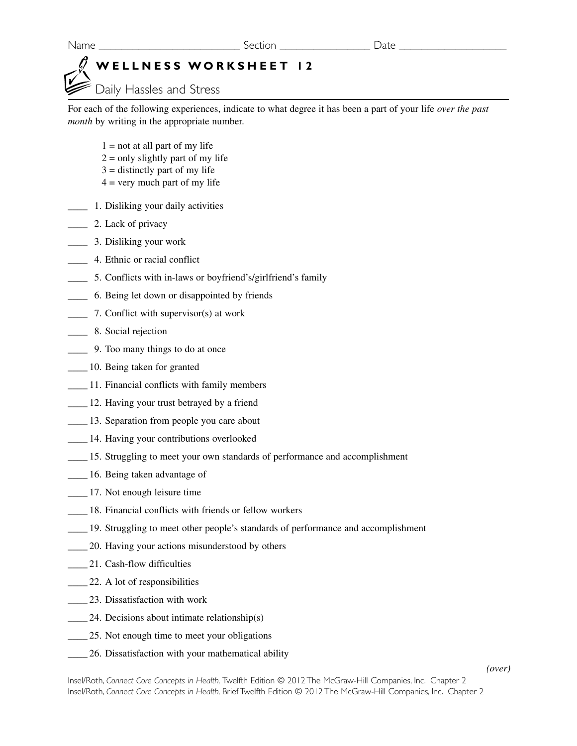## **WELLNESS WORKSHEET 12**

Daily Hassles and Stress

For each of the following experiences, indicate to what degree it has been a part of your life *over the past month* by writing in the appropriate number.

- $1 = not at all part of my life$
- $2 =$  only slightly part of my life
- $3 =$  distinctly part of my life
- $4 =$  very much part of my life
- \_\_\_\_ 1. Disliking your daily activities
- **2.** Lack of privacy
- \_\_\_\_ 3. Disliking your work
- \_\_\_\_ 4. Ethnic or racial conflict
- \_\_\_\_ 5. Conflicts with in-laws or boyfriend's/girlfriend's family
- \_\_\_\_ 6. Being let down or disappointed by friends
- \_\_\_\_ 7. Conflict with supervisor(s) at work
- **\_\_\_\_\_** 8. Social rejection
- \_\_\_\_ 9. Too many things to do at once
- \_\_\_\_ 10. Being taken for granted
- \_\_\_\_ 11. Financial conflicts with family members
- \_\_\_\_ 12. Having your trust betrayed by a friend
- \_\_\_\_ 13. Separation from people you care about
- \_\_\_\_ 14. Having your contributions overlooked
- \_\_\_\_ 15. Struggling to meet your own standards of performance and accomplishment
- \_\_\_\_ 16. Being taken advantage of
- \_\_\_\_ 17. Not enough leisure time
- \_\_\_\_ 18. Financial conflicts with friends or fellow workers
- \_\_\_\_ 19. Struggling to meet other people's standards of performance and accomplishment
- \_\_\_\_ 20. Having your actions misunderstood by others
- 21. Cash-flow difficulties
- \_\_\_\_ 22. A lot of responsibilities
- \_\_\_\_ 23. Dissatisfaction with work
- $24.$  Decisions about intimate relationship(s)
- 25. Not enough time to meet your obligations
- \_\_\_\_ 26. Dissatisfaction with your mathematical ability